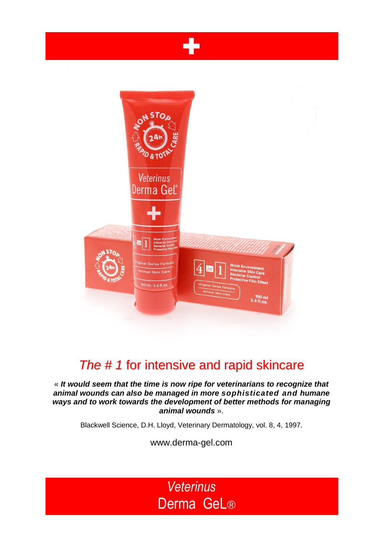



## *The # 1* for intensive and rapid skincare

« *It would seem that the time is now ripe for veterinarians to recognize that animal wounds can also be managed in more sophisticated and humane ways and to work towards the development of better methods for managing animal wounds* ».

Blackwell Science, D.H. Lloyd, Veterinary Dermatology, vol. 8, 4, 1997.

www.derma-gel.com

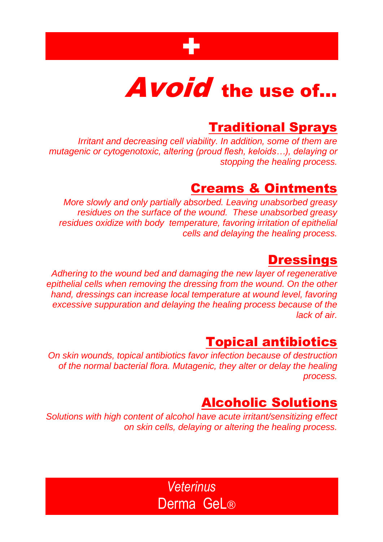

# Avoid the use of...

## **Traditional Sprays**

*Irritant and decreasing cell viability. In addition, some of them are*  mutagenic or cytogenotoxic, altering (proud flesh, keloids...), delaying or *stopping the healing process.*

## Creams & Ointments

*More slowly and only partially absorbed. Leaving unabsorbed greasy residues on the surface of the wound. These unabsorbed greasy residues oxidize with body temperature, favoring irritation of epithelial cells and delaying the healing process.*

## **Dressings**

*Adhering to the wound bed and damaging the new layer of regenerative epithelial cells when removing the dressing from the wound. On the other hand, dressings can increase local temperature at wound level, favoring excessive suppuration and delaying the healing process because of the lack of air.*

## Topical antibiotics

*On skin wounds, topical antibiotics favor infection because of destruction of the normal bacterial flora. Mutagenic, they alter or delay the healing process.*

## Alcoholic Solutions

*Solutions with high content of alcohol have acute irritant/sensitizing effect on skin cells, delaying or altering the healing process.*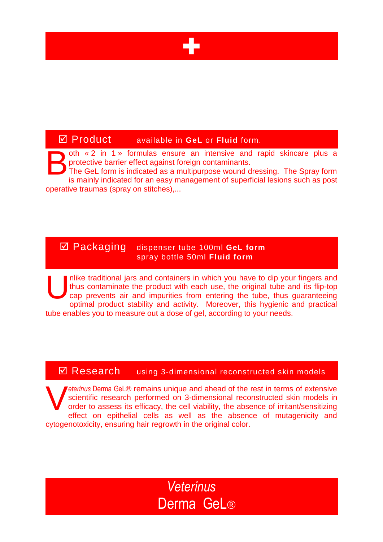

### Product available in **GeL** or **Fluid** form.

oth « 2 in 1 » formulas ensure an intensive and rapid skincare plus a protective barrier effect against foreign contaminants. The GeL form is indicated as a multipurpose wound dressing. The Spray form B

is mainly indicated for an easy management of superficial lesions such as post operative traumas (spray on stitches),...

#### Packaging dispenser tube 100ml **GeL form** spray bottle 50ml **Fluid form**

nlike traditional jars and containers in which you have to dip your fingers and thus contaminate the product with each use, the original tube and its flip-top cap prevents air and impurities from entering the tube, thus guaranteeing optimal product stability and activity. Moreover, this hygienic and practical tube enables you to measure out a dose of gel, according to your needs. U

#### **Ø Research** using 3-dimensional reconstructed skin models

*eterinus* Derma GeL® remains unique and ahead of the rest in terms of extensive scientific research performed on 3-dimensional reconstructed skin models in order to assess its efficacy, the cell viability, the absence of irritant/sensitizing effect on epithelial cells as well as the absence of mutagenicity and cytogenotoxicity, ensuring hair regrowth in the original color. V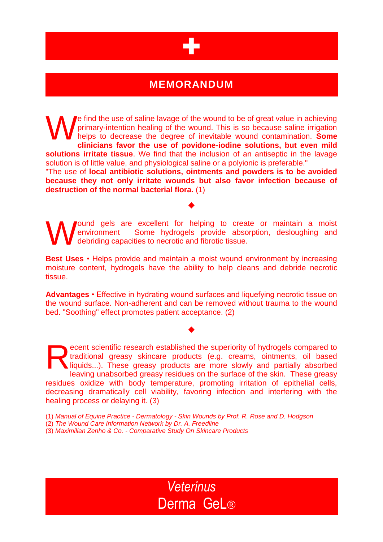

### **MEMORANDUM**

e find the use of saline lavage of the wound to be of great value in achieving primary-intention healing of the wound. This is so because saline irrigation helps to decrease the degree of inevitable wound contamination. **Some clinicians favor the use of povidone-iodine solutions, but even mild solutions irritate tissue**. We find that the inclusion of an antiseptic in the lavage solution is of little value, and physiological saline or a polyionic is preferable." W

"The use of **local antibiotic solutions, ointments and powders is to be avoided because they not only irritate wounds but also favor infection because of destruction of the normal bacterial flora.** (1)

♦

Jound gels are excellent for helping to create or maintain a moist environment Some hydrogels provide absorption, desloughing and debriding capacities to necrotic and fibrotic tissue. W

**Best Uses** • Helps provide and maintain a moist wound environment by increasing moisture content, hydrogels have the ability to help cleans and debride necrotic tissue.

**Advantages** • Effective in hydrating wound surfaces and liquefying necrotic tissue on the wound surface. Non-adherent and can be removed without trauma to the wound bed. "Soothing" effect promotes patient acceptance. (2)

 $\blacklozenge$ 

ecent scientific research established the superiority of hydrogels compared to traditional greasy skincare products (e.g. creams, ointments, oil based liquids...). These greasy products are more slowly and partially absorbed leaving unabsorbed greasy residues on the surface of the skin. These greasy residues oxidize with body temperature, promoting irritation of epithelial cells, decreasing dramatically cell viability, favoring infection and interfering with the healing process or delaying it. (3) R

(1) *Manual of Equine Practice - Dermatology - Skin Wounds by Prof. R. Rose and D. Hodgson*

(2) *The Wound Care Information Network by Dr. A. Freedline* 

(3) *Maximilian Zenho & Co. - Comparative Study On Skincare Products*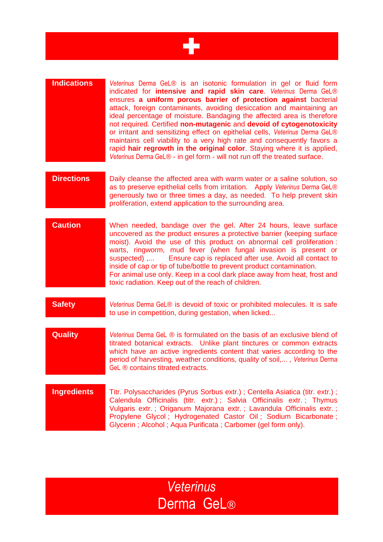

#### **Indications** *Veterinus* Derma GeL® is an isotonic formulation in gel or fluid form indicated for **intensive and rapid skin care**. *Veterinus* Derma GeL® ensures **a uniform porous barrier of protection against** bacterial attack, foreign contaminants, avoiding desiccation and maintaining an ideal percentage of moisture. Bandaging the affected area is therefore not required. Certified **non-mutagenic** and **devoid of cytogenotoxicity** or irritant and sensitizing effect on epithelial cells, *Veterinus* Derma GeL® maintains cell viability to a very high rate and consequently favors a rapid **hair regrowth in the original color**. Staying where it is applied, *Veterinus* Derma GeL® - in gel form - will not run off the treated surface.

- **Directions** Daily cleanse the affected area with warm water or a saline solution, so as to preserve epithelial cells from irritation. Apply *Veterinus* Derma GeL® generously two or three times a day, as needed. To help prevent skin proliferation, extend application to the surrounding area.
- **Caution** When needed, bandage over the gel. After 24 hours, leave surface uncovered as the product ensures a protective barrier (keeping surface moist). Avoid the use of this product on abnormal cell proliferation : warts, ringworm, mud fever (when fungal invasion is present or suspected) ,... Ensure cap is replaced after use. Avoid all contact to inside of cap or tip of tube/bottle to prevent product contamination. For animal use only. Keep in a cool dark place away from heat, frost and toxic radiation. Keep out of the reach of children.
- **Safety** *Veterinus* Derma GeL® is devoid of toxic or prohibited molecules. It is safe to use in competition, during gestation, when licked...
- **Quality** *Veterinus* Derma GeL ® is formulated on the basis of an exclusive blend of titrated botanical extracts. Unlike plant tinctures or common extracts which have an active ingredients content that varies according to the period of harvesting, weather conditions, quality of soil,... , *Veterinus* Derma GeL <sup>®</sup> contains titrated extracts.
- **Ingredients** Titr. Polysaccharides (Pyrus Sorbus extr.) ; Centella Asiatica (titr. extr.) ; Calendula Officinalis (titr. extr.) ; Salvia Officinalis extr. ; Thymus Vulgaris extr. ; Origanum Majorana extr. ; Lavandula Officinalis extr. ; Propylene Glycol ; Hydrogenated Castor Oil ; Sodium Bicarbonate ; Glycerin ; Alcohol ; Aqua Purificata ; Carbomer (gel form only).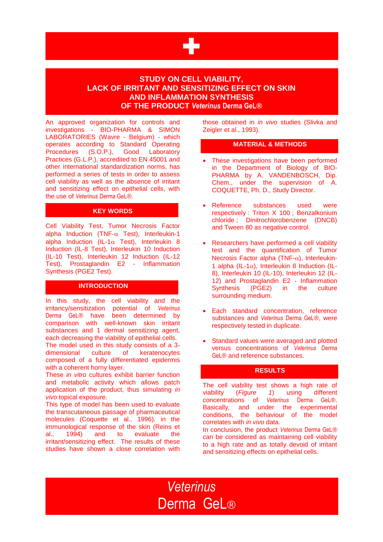

#### **STUDY ON CELL VIABILITY, LACK OF IRRITANT AND SENSITIZING EFFECT ON SKIN AND INFLAMMATION SYNTHESIS OF THE PRODUCT** *Veterinus* **Derma GeL®**

An approved organization for controls and investigations - BIO-PHARMA & SIMON LABORATORIES (Wavre - Belgium) - which operates according to Standard Operating Procedures (S.O.P.), Good Laboratory Practices (G.L.P.), accredited to EN 45001 and other international standardization norms, has performed a series of tests in order to assess cell viability as well as the absence of irritant and sensitizing effect on epithelial cells, with the use of *Veterinus* Derma GeL®.

#### **KEY WORDS**

Cell Viability Test, Tumor Necrosis Factor alpha Induction (TNF- $\alpha$  Test), Interleukin-1 alpha Induction (IL-1 $\alpha$  Test), Interleukin 8 Induction (IL-8 Test), Interleukin 10 Induction (IL-10 Test), Interleukin 12 Induction (IL-12 Test), Prostaglandin E2 - Inflammation Synthesis (PGE2 Test).

#### **INTRODUCTION**

In this study, the cell viability and the irritancy/sensitization potential of *Veterinus* Derma GeL® have been determined by comparison with well-known skin irritant substances and 1 dermal sensitizing agent, each decreasing the viability of epithelial cells. The model used in this study consists of a 3 dimensional culture of keratenocytes composed of a fully differentiated epidermis with a coherent horny layer.

These *in vitro* cultures exhibit barrier function and metabolic activity which allows patch application of the product, thus simulating *in vivo* topical exposure.

This type of model has been used to evaluate the transcutaneous passage of pharmaceutical molecules (Coquette et al., 1996), in the immunological response of the skin (Reins et al., 1994) and to evaluate the irritant/sensitizing effect. The results of these studies have shown a close correlation with

those obtained in *in vivo* studies (Slivka and Zeigler et al., 1993).

#### **MATERIAL & METHODS**

- These investigations have been performed in the Department of Biology of BIO-PHARMA by A. VANDENBOSCH, Dip. Chem., under the supervision of A. COQUETTE, Ph. D., Study Director.
- Reference substances used were respectively : Triton X 100 ; Benzalkonium chloride ; Dinitrochlorobenzene (DNCB) and Tween 80 as negative control.
- Researchers have performed a cell viability test and the quantification of Tumor Necrosis Factor alpha (TNF- $\alpha$ ), Interleukin-1 alpha (IL-1 $\alpha$ ), Interleukin 8 Induction (IL-8), Interleukin 10 (IL-10), Interleukin 12 (IL-12) and Prostaglandin E2 - Inflammation Synthesis (PGE2) in the culture surrounding medium.
- Each standard concentration, reference substances and *Veterinus* Derma GeL®, were respectively tested in duplicate.
- Standard values were averaged and plotted versus concentrations of *Veterinus* Derma GeL® and reference substances.

#### **RESULTS**

The cell viability test shows a high rate of viability (*Figure 1*) using different concentrations of *Veterinus* Derma GeL®. Basically, and under the experimental conditions, the behaviour of the model correlates with *in vivo* data.

In conclusion, the product *Veterinus* Derma GeL® can be considered as maintaining cell viability to a high rate and as totally devoid of irritant and sensitizing effects on epithelial cells.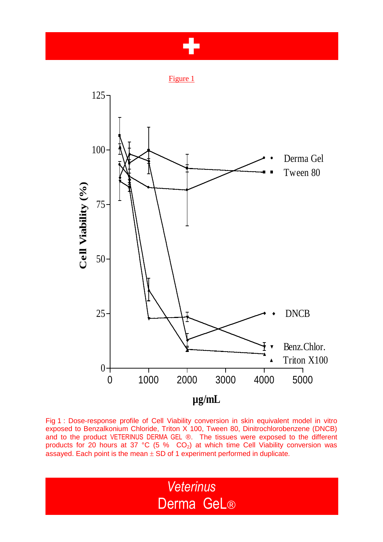## +

Figure 1



Fig 1 : Dose-response profile of Cell Viability conversion in skin equivalent model in vitro exposed to Benzalkonium Chloride, Triton X 100, Tween 80, Dinitrochlorobenzene (DNCB) and to the product VETERINUS DERMA GEL ®. The tissues were exposed to the different products for 20 hours at 37 °C (5 %  $CO<sub>2</sub>$ ) at which time Cell Viability conversion was assayed. Each point is the mean  $\pm$  SD of 1 experiment performed in duplicate.

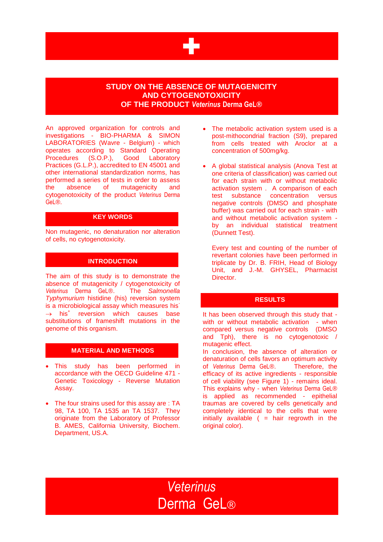

#### **STUDY ON THE ABSENCE OF MUTAGENICITY AND CYTOGENOTOXICITY OF THE PRODUCT** *Veterinus* **Derma GeL®**

An approved organization for controls and investigations - BIO-PHARMA & SIMON LABORATORIES (Wavre - Belgium) - which operates according to Standard Operating Procedures (S.O.P.), Good Laboratory Practices (G.L.P.), accredited to EN 45001 and other international standardization norms, has performed a series of tests in order to assess the absence of mutagenicity and cytogenotoxicity of the product *Veterinus* Derma GeL®.

#### **KEY WORDS**

Non mutagenic, no denaturation nor alteration of cells, no cytogenotoxicity.

#### **INTRODUCTION**

The aim of this study is to demonstrate the absence of mutagenicity / cytogenotoxicity of *Veterinus* Derma GeL®. The *Salmonella Typhymurium* histidine (his) reversion system is a microbiological assay which measures his<sup>-</sup>  $\rightarrow$  his<sup>+</sup> reversion which causes base substitutions of frameshift mutations in the genome of this organism.

#### **MATERIAL AND METHODS**

- This study has been performed in accordance with the OECD Guideline 471 - Genetic Toxicology - Reverse Mutation Assay.
- The four strains used for this assay are : TA 98, TA 100, TA 1535 an TA 1537. They originate from the Laboratory of Professor B. AMES, California University, Biochem. Department, US.A.
- The metabolic activation system used is a post-mithocondrial fraction (S9), prepared from cells treated with Aroclor at a concentration of 500mg/kg.
- A global statistical analysis (Anova Test at one criteria of classification) was carried out for each strain with or without metabolic activation system . A comparison of each test substance concentration versus negative controls (DMSO and phosphate buffer) was carried out for each strain - with and without metabolic activation system by an individual statistical treatment (Dunnett Test).

 Every test and counting of the number of revertant colonies have been performed in triplicate by Dr. B. FRIH, Head of Biology Unit, and J.-M. GHYSEL, Pharmacist Director.

#### **RESULTS**

It has been observed through this study that with or without metabolic activation - when compared versus negative controls (DMSO and Tph), there is no cytogenotoxic / mutagenic effect.

In conclusion, the absence of alteration or denaturation of cells favors an optimum activity of *Veterinus* Derma GeL®. Therefore, the efficacy of its active ingredients - responsible of cell viability (see Figure 1) - remains ideal. This explains why - when *Veterinus* Derma GeL® is applied as recommended - epithelial traumas are covered by cells genetically and completely identical to the cells that were initially available  $($  = hair regrowth in the original color).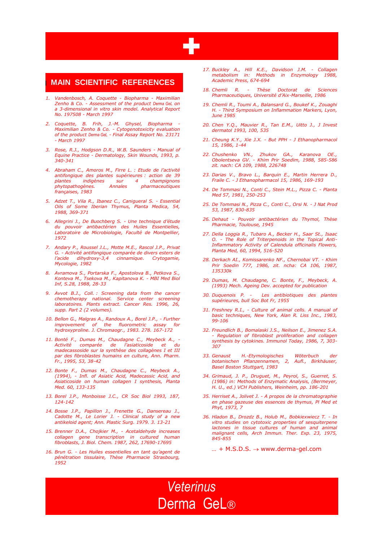

#### **MAIN SCIENTIFIC REFERENCES**

- *1. Vandenbosch, A. Coquette - Biopharma - Maximilian Zenho & Co. - Assessment of the product Derma GeL on a 3-dimensional in vitro skin model. Analytical Report No. 197508 - March 1997*
- *2. Coquette, B. Frih, J.-M. Ghysel, Biopharma - Maximilian Zenho & Co. - Cytogenotoxicity evaluation of the product Derma GeL - Final Assay Report No. 23171 - March 1997*
- *3. Rose, R.J., Hodgson D.R., W.B. Saunders - Manual of Equine Practice - Dermatology, Skin Wounds, 1993, p. 340-341*
- *4. Abraham C., Amoros M., Firre L. : Etude de l'activité antifongique des plantes supérieures : action de 39 plantes indigènes sur 4*<br>*phytopathogènes Annales* Annales pharmaceutiques *françaises, 1983*
- *5. Adzet T., Vila R., Ibanez C., Canigueral S. - Essential Oils of Some Iberian Thymus, Planta Medica, 54, 1988, 369-371*
- *6. Allegrini J., De Buochberg S. - Une technique d'étude du pouvoir antibactérien des Huiles Essentielles, Laboratoire de Microbiologie, Faculté de Montpellier, 1972*
- *7. Andary P., Roussel J.L., Motte M.E., Rascol J.P., Privat G. - Activité antifongique comparée de divers esters de l'acide dihydroxy-3,4 cinnamique. Crytogamie, Mycologie, 1982*
- *8. Avramova S., Portarska F., Apostolova B., Petkova S., Konteva M., Tsekova M., Kapitanova K. - MBI Med Biol Inf, S.28, 1988, 28-33*
- *9. Avvot B.J., Coll. : Screening data from the cancer chemotherapy national. Service center screening laboratoires. Plants extract. Cancer Res. 1996, 26, supp. Part 2 (2 volumes).*
- *10. Bellon G., Malgras A., Randoux A., Borel J.P., - Further improvement of the fluorometric assay for hydroxyproline. J. Chromaogr., 1983. 278. 167-172*
- *11. Bonté F., Dumas M., Chaudagne C., Meybeck A., - Activité comparée de l'asiaticoside et du madecassoside sur la synthèse des collagènes I et III par des fibroblastes humains en culture, Ann. Pharm. Fr., 1995, 53, 38-42*
- *12. Bonte F., Dumas M., Chaudagne C., Meybeck A., (1994), - Infl. of Asiatic Acid, Madecassic Acid, and Asiaticoside on human collagen I synthesis, Planta Med. 60, 133-135*
- *13. Borel J.P., Monboisse J.C., CR Soc Biol 1993, 187, 124-142*
- *14. Bosse J.P., Papillon J., Frenette G., Dansereau J., Cadotte M., Le Lorier J. - Clinical study of a new antikeloid agent; Ann. Plastic Surg. 1979. 3. 13-21*
- *15. Brenner D.A., Chojkier M., - Acetaldehyde increases collagen gene transcription in cultured human fibroblasts, J. Biol. Chem. 1987, 262, 17690-17695*
- *16. Brun G. - Les Huiles essentielles en tant qu'agent de pénétration tissulaire, Thèse Pharmacie Strasbourg, 1952*
- *17. Buckley A., Hill K.E., Davidson J.M. - Collagen metabolism in: Methods in Enzymology 1988, Academic Press, 674-694*
- *18. Chemli R. - Thèse Doctorat de Sciences Pharmaceutiques, Université d'Aix-Marseille, 1986*
- *19. Chemli R., Toumi A., Balansard G., Boukef K., Zouaghi H. - Third Symposium on Inflammation Markers, Lyon, June 1985*
- *20. Chen Y.Q., Mauvier R., Tan E.M., Uitto J., J Invest dermatol 1993, 100, 535*
- *21. Cheung K.Y., Xie J.X. - But PPH - J Ethanopharmacol 15, 1986, 1-44*
- *22. Chushenko VN., Zhukov GA., Karanova OE., Obolentseva GV. - Khim Prir Soedim, 1988, 585-586 zit. nach: CA 109, 1988, 226748*
- *23. Darias V., Bravo L., Barquin E., Martin Herrera D., Fraile C. - J Ethanopharmacol 15, 1986, 169-193*
- *24. De Tommasi N., Conti C., Stein M.L., Pizza C. - Planta Med 57, 1981, 250-253*
- *25. De Tommasi N., Pizza C., Conti C., Orsi N. - J Nat Prod 53, 1987, 830-835*
- *26. Dehaut - Pouvoir antibactérien du Thymol, Thèse Pharmacie, Toulouse, 1945*
- *27. Della Loggia R., Tubaro A., Becker H., Saar St., Isaac O. - The Role of Triterpenoids in the Topical Anti-Inflammatory Activity of Calendula officinalis Flowers, Planta Med, 60, 1994, 516-520*
- *28. Derkach AI., Komissarenko NF., Chernobai VT. - Khim Prir Soedin 777, 1986, zit. ncha: CA 106, 1987, 135330k*
- *29. Dumas, M. Chaudagne, C. Bonte, F., Meybeck, A. (1993) Mech. Ageing Dev. accepted for publication*
- *30. Duquenois P. Les antibiotiques des plantes supérieures, bull Soc Bot Fr, 1955*
- *31. Freshney R.I., - Culture of animal cells. A manual of basic techniques, New York, Alan R. Liss Inc., 1983, 99-106*
- *32. Freundlich B., Bomalaski J.S., Neilson E., Jimenez S.A. - Regulation of fibroblast proliferation and collagen synthesis by cytokines. Immunol Today, 1986, 7, 303- 307*
- *33. Genaust H.-Etymologisches Wöterbuch der botanischen Pflanzennamen, 2, Aufl., Birkhäuser, Basel Boston Stuttgart, 1983*
- *34. Grimaud, J. P., Druguet, M., Peyrol, S., Guerret, S. (1986) in: Methods of Enzymatic Analysis, (Bermeyer, H. U., ed.) VCH Publishers, Weinheim, pp. 186-201*
- *35. Herriset A., Jolivet J. - A propos de la chromatographie en phase gazeuse des essences de thymus, Pl Med et Phyt, 1973, 7*
- *36. Hladon B., Drozdz B., Holub M., Bobkiexwiecz T. - In vitro studies on cytotoxic properties of sesquiterpene lactones in tissue cultures of human and animal malignant cells, Arch Immun. Ther. Exp. 23, 1975, 845-855*

*… +* M.S.D.S. www.derma-gel.com